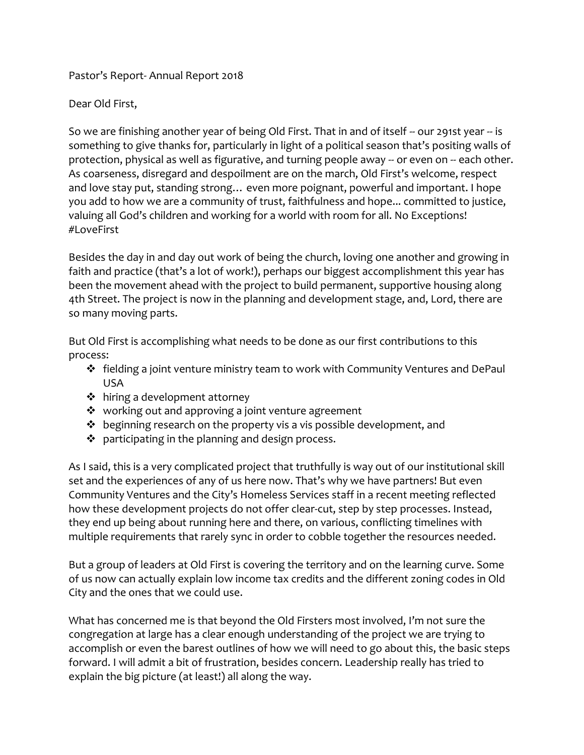Pastor's Report- Annual Report 2018

Dear Old First,

So we are finishing another year of being Old First. That in and of itself -- our 291st year -- is something to give thanks for, particularly in light of a political season that's positing walls of protection, physical as well as figurative, and turning people away -- or even on -- each other. As coarseness, disregard and despoilment are on the march, Old First's welcome, respect and love stay put, standing strong… even more poignant, powerful and important. I hope you add to how we are a community of trust, faithfulness and hope... committed to justice, valuing all God's children and working for a world with room for all. No Exceptions! #LoveFirst

Besides the day in and day out work of being the church, loving one another and growing in faith and practice (that's a lot of work!), perhaps our biggest accomplishment this year has been the movement ahead with the project to build permanent, supportive housing along 4th Street. The project is now in the planning and development stage, and, Lord, there are so many moving parts.

But Old First is accomplishing what needs to be done as our first contributions to this process:

- $\div$  fielding a joint venture ministry team to work with Community Ventures and DePaul USA
- ❖ hiring a development attorney
- ❖ working out and approving a joint venture agreement
- ❖ beginning research on the property vis a vis possible development, and
- ❖ participating in the planning and design process.

As I said, this is a very complicated project that truthfully is way out of our institutional skill set and the experiences of any of us here now. That's why we have partners! But even Community Ventures and the City's Homeless Services staff in a recent meeting reflected how these development projects do not offer clear-cut, step by step processes. Instead, they end up being about running here and there, on various, conflicting timelines with multiple requirements that rarely sync in order to cobble together the resources needed.

But a group of leaders at Old First is covering the territory and on the learning curve. Some of us now can actually explain low income tax credits and the different zoning codes in Old City and the ones that we could use.

What has concerned me is that beyond the Old Firsters most involved, I'm not sure the congregation at large has a clear enough understanding of the project we are trying to accomplish or even the barest outlines of how we will need to go about this, the basic steps forward. I will admit a bit of frustration, besides concern. Leadership really has tried to explain the big picture (at least!) all along the way.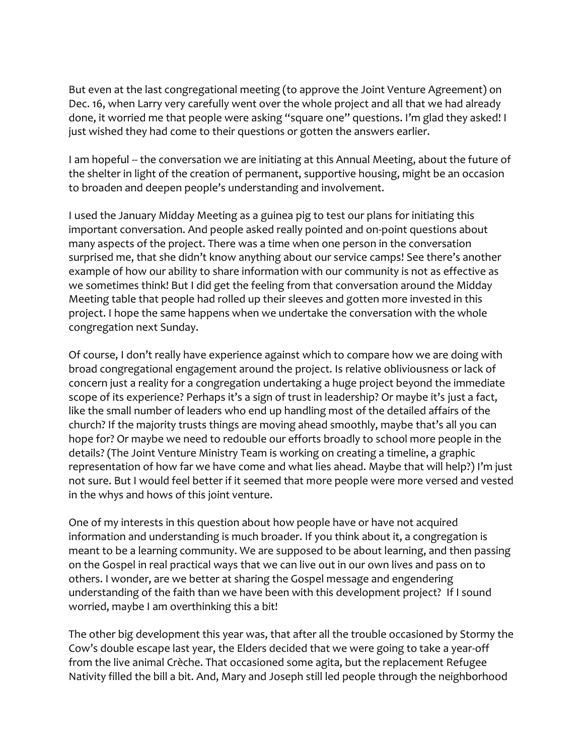But even at the last congregational meeting (to approve the Joint Venture Agreement) on Dec. 16, when Larry very carefully went over the whole project and all that we had already done, it worried me that people were asking "square one" questions. I'm glad they asked! I just wished they had come to their questions or gotten the answers earlier.

I am hopeful -- the conversation we are initiating at this Annual Meeting, about the future of the shelter in light of the creation of permanent, supportive housing, might be an occasion to broaden and deepen people's understanding and involvement.

I used the January Midday Meeting as a guinea pig to test our plans for initiating this important conversation. And people asked really pointed and on-point questions about many aspects of the project. There was a time when one person in the conversation surprised me, that she didn't know anything about our service camps! See there's another example of how our ability to share information with our community is not as effective as we sometimes think! But I did get the feeling from that conversation around the Midday Meeting table that people had rolled up their sleeves and gotten more invested in this project. I hope the same happens when we undertake the conversation with the whole congregation next Sunday.

Of course, I don't really have experience against which to compare how we are doing with broad congregational engagement around the project. Is relative obliviousness or lack of concern just a reality for a congregation undertaking a huge project beyond the immediate scope of its experience? Perhaps it's a sign of trust in leadership? Or maybe it's just a fact, like the small number of leaders who end up handling most of the detailed affairs of the church? If the majority trusts things are moving ahead smoothly, maybe that's all you can hope for? Or maybe we need to redouble our efforts broadly to school more people in the details? (The Joint Venture Ministry Team is working on creating a timeline, a graphic representation of how far we have come and what lies ahead. Maybe that will help?) I'm just not sure. But I would feel better if it seemed that more people were more versed and vested in the whys and hows of this joint venture.

One of my interests in this question about how people have or have not acquired information and understanding is much broader. If you think about it, a congregation is meant to be a learning community. We are supposed to be about learning, and then passing on the Gospel in real practical ways that we can live out in our own lives and pass on to others. I wonder, are we better at sharing the Gospel message and engendering understanding of the faith than we have been with this development project? If I sound worried, maybe I am overthinking this a bit!

The other big development this year was, that after all the trouble occasioned by Stormy the Cow's double escape last year, the Elders decided that we were going to take a year-off from the live animal Crèche. That occasioned some agita, but the replacement Refugee Nativity filled the bill a bit. And, Mary and Joseph still led people through the neighborhood